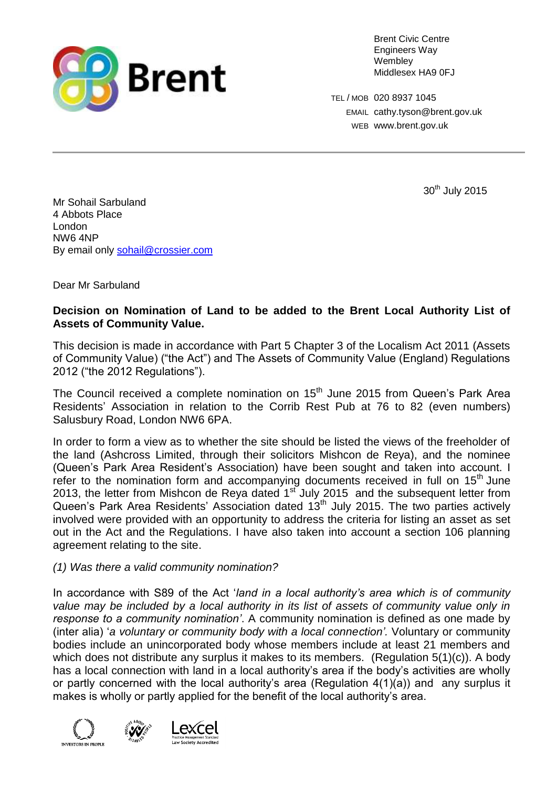

Brent Civic Centre Engineers Way Wembley Middlesex HA9 0FJ

TEL / MOB 020 8937 1045 EMAIL cathy.tyson@brent.gov.uk WEB [www.brent.gov.uk](http://www.brent.gov.uk/)

30<sup>th</sup> July 2015

Mr Sohail Sarbuland 4 Abbots Place London NW6 4NP By email only [sohail@crossier.com](mailto:sohail@crossier.com)

Dear Mr Sarbuland

# **Decision on Nomination of Land to be added to the Brent Local Authority List of Assets of Community Value.**

This decision is made in accordance with Part 5 Chapter 3 of the Localism Act 2011 (Assets of Community Value) ("the Act") and The Assets of Community Value (England) Regulations 2012 ("the 2012 Regulations").

The Council received a complete nomination on 15<sup>th</sup> June 2015 from Queen's Park Area Residents' Association in relation to the Corrib Rest Pub at 76 to 82 (even numbers) Salusbury Road, London NW6 6PA.

In order to form a view as to whether the site should be listed the views of the freeholder of the land (Ashcross Limited, through their solicitors Mishcon de Reya), and the nominee (Queen's Park Area Resident's Association) have been sought and taken into account. I refer to the nomination form and accompanying documents received in full on 15<sup>th</sup> June 2013, the letter from Mishcon de Reya dated 1<sup>st</sup> July 2015 and the subsequent letter from Queen's Park Area Residents' Association dated 13<sup>th</sup> July 2015. The two parties actively involved were provided with an opportunity to address the criteria for listing an asset as set out in the Act and the Regulations. I have also taken into account a section 106 planning agreement relating to the site.

## *(1) Was there a valid community nomination?*

In accordance with S89 of the Act '*land in a local authority's area which is of community*  value may be included by a local authority in its list of assets of community value only in *response to a community nomination'*. A community nomination is defined as one made by (inter alia) '*a voluntary or community body with a local connection'.* Voluntary or community bodies include an unincorporated body whose members include at least 21 members and which does not distribute any surplus it makes to its members. (Regulation 5(1)(c)). A body has a local connection with land in a local authority's area if the body's activities are wholly or partly concerned with the local authority's area (Regulation 4(1)(a)) and any surplus it makes is wholly or partly applied for the benefit of the local authority's area.



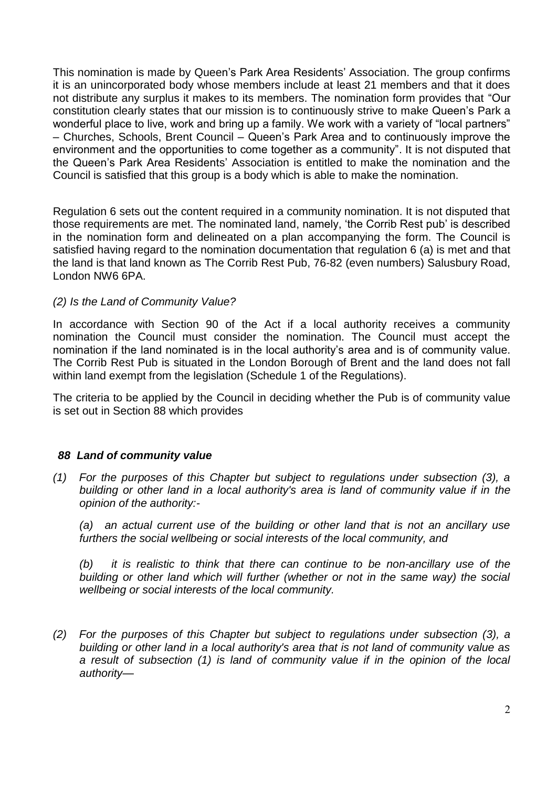This nomination is made by Queen's Park Area Residents' Association. The group confirms it is an unincorporated body whose members include at least 21 members and that it does not distribute any surplus it makes to its members. The nomination form provides that "Our constitution clearly states that our mission is to continuously strive to make Queen's Park a wonderful place to live, work and bring up a family. We work with a variety of "local partners" – Churches, Schools, Brent Council – Queen's Park Area and to continuously improve the environment and the opportunities to come together as a community". It is not disputed that the Queen's Park Area Residents' Association is entitled to make the nomination and the Council is satisfied that this group is a body which is able to make the nomination.

Regulation 6 sets out the content required in a community nomination. It is not disputed that those requirements are met. The nominated land, namely, 'the Corrib Rest pub' is described in the nomination form and delineated on a plan accompanying the form. The Council is satisfied having regard to the nomination documentation that regulation 6 (a) is met and that the land is that land known as The Corrib Rest Pub, 76-82 (even numbers) Salusbury Road, London NW6 6PA.

## *(2) Is the Land of Community Value?*

In accordance with Section 90 of the Act if a local authority receives a community nomination the Council must consider the nomination. The Council must accept the nomination if the land nominated is in the local authority's area and is of community value. The Corrib Rest Pub is situated in the London Borough of Brent and the land does not fall within land exempt from the legislation (Schedule 1 of the Regulations).

The criteria to be applied by the Council in deciding whether the Pub is of community value is set out in Section 88 which provides

## *88 Land of community value*

*(1) For the purposes of this Chapter but subject to regulations under subsection (3), a building or other land in a local authority's area is land of community value if in the opinion of the authority:-*

*(a) an actual current use of the building or other land that is not an ancillary use furthers the social wellbeing or social interests of the local community, and*

*(b) it is realistic to think that there can continue to be non-ancillary use of the building or other land which will further (whether or not in the same way) the social wellbeing or social interests of the local community.*

*(2) For the purposes of this Chapter but subject to regulations under subsection (3), a building or other land in a local authority's area that is not land of community value as a result of subsection (1) is land of community value if in the opinion of the local authority—*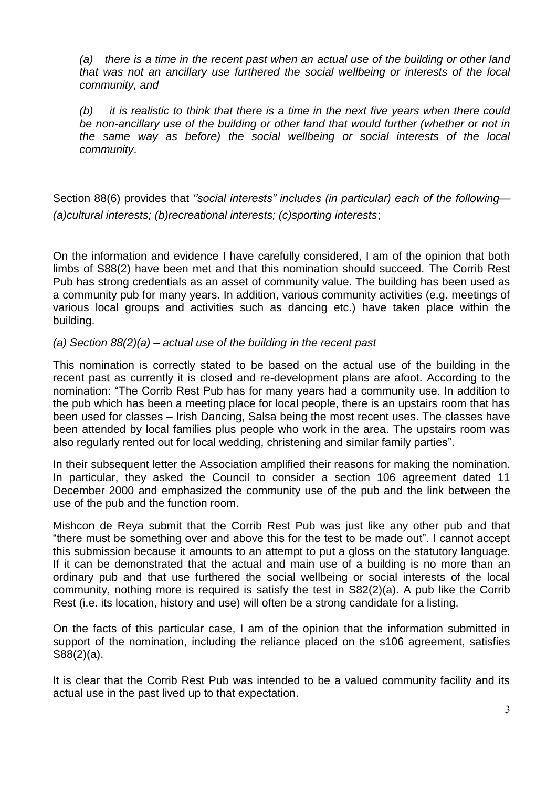*(a) there is a time in the recent past when an actual use of the building or other land that was not an ancillary use furthered the social wellbeing or interests of the local community, and*

*(b) it is realistic to think that there is a time in the next five years when there could be non-ancillary use of the building or other land that would further (whether or not in the same way as before) the social wellbeing or social interests of the local community*.

Section 88(6) provides that *''social interests" includes (in particular) each of the following— (a)cultural interests; (b)recreational interests; (c)sporting interests*;

On the information and evidence I have carefully considered, I am of the opinion that both limbs of S88(2) have been met and that this nomination should succeed. The Corrib Rest Pub has strong credentials as an asset of community value. The building has been used as a community pub for many years. In addition, various community activities (e.g. meetings of various local groups and activities such as dancing etc.) have taken place within the building.

## *(a) Section 88(2)(a) – actual use of the building in the recent past*

This nomination is correctly stated to be based on the actual use of the building in the recent past as currently it is closed and re-development plans are afoot. According to the nomination: "The Corrib Rest Pub has for many years had a community use. In addition to the pub which has been a meeting place for local people, there is an upstairs room that has been used for classes – Irish Dancing, Salsa being the most recent uses. The classes have been attended by local families plus people who work in the area. The upstairs room was also regularly rented out for local wedding, christening and similar family parties".

In their subsequent letter the Association amplified their reasons for making the nomination. In particular, they asked the Council to consider a section 106 agreement dated 11 December 2000 and emphasized the community use of the pub and the link between the use of the pub and the function room.

Mishcon de Reya submit that the Corrib Rest Pub was just like any other pub and that "there must be something over and above this for the test to be made out". I cannot accept this submission because it amounts to an attempt to put a gloss on the statutory language. If it can be demonstrated that the actual and main use of a building is no more than an ordinary pub and that use furthered the social wellbeing or social interests of the local community, nothing more is required is satisfy the test in S82(2)(a). A pub like the Corrib Rest (i.e. its location, history and use) will often be a strong candidate for a listing.

On the facts of this particular case, I am of the opinion that the information submitted in support of the nomination, including the reliance placed on the s106 agreement, satisfies S88(2)(a).

It is clear that the Corrib Rest Pub was intended to be a valued community facility and its actual use in the past lived up to that expectation.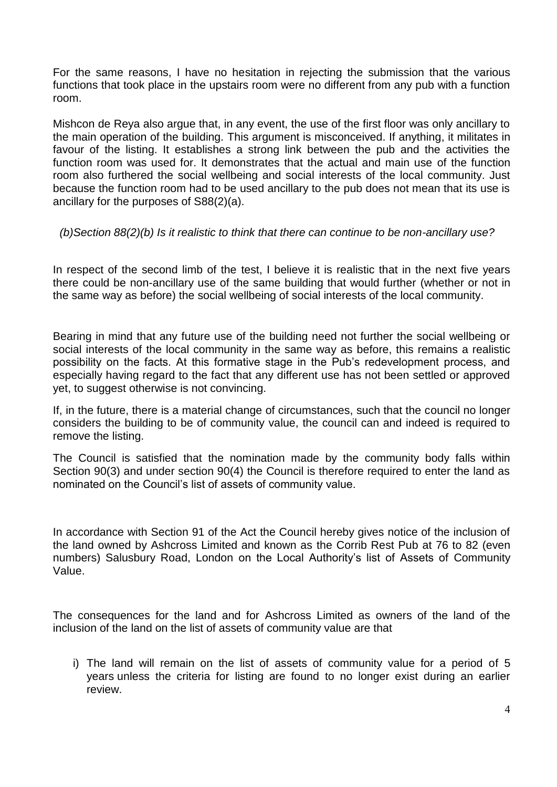For the same reasons, I have no hesitation in rejecting the submission that the various functions that took place in the upstairs room were no different from any pub with a function room.

Mishcon de Reya also argue that, in any event, the use of the first floor was only ancillary to the main operation of the building. This argument is misconceived. If anything, it militates in favour of the listing. It establishes a strong link between the pub and the activities the function room was used for. It demonstrates that the actual and main use of the function room also furthered the social wellbeing and social interests of the local community. Just because the function room had to be used ancillary to the pub does not mean that its use is ancillary for the purposes of S88(2)(a).

*(b)Section 88(2)(b) Is it realistic to think that there can continue to be non-ancillary use?*

In respect of the second limb of the test, I believe it is realistic that in the next five years there could be non-ancillary use of the same building that would further (whether or not in the same way as before) the social wellbeing of social interests of the local community.

Bearing in mind that any future use of the building need not further the social wellbeing or social interests of the local community in the same way as before, this remains a realistic possibility on the facts. At this formative stage in the Pub's redevelopment process, and especially having regard to the fact that any different use has not been settled or approved yet, to suggest otherwise is not convincing.

If, in the future, there is a material change of circumstances, such that the council no longer considers the building to be of community value, the council can and indeed is required to remove the listing.

The Council is satisfied that the nomination made by the community body falls within Section 90(3) and under section 90(4) the Council is therefore required to enter the land as nominated on the Council's list of assets of community value.

In accordance with Section 91 of the Act the Council hereby gives notice of the inclusion of the land owned by Ashcross Limited and known as the Corrib Rest Pub at 76 to 82 (even numbers) Salusbury Road, London on the Local Authority's list of Assets of Community Value.

The consequences for the land and for Ashcross Limited as owners of the land of the inclusion of the land on the list of assets of community value are that

i) The land will remain on the list of assets of community value for a period of 5 years unless the criteria for listing are found to no longer exist during an earlier review.